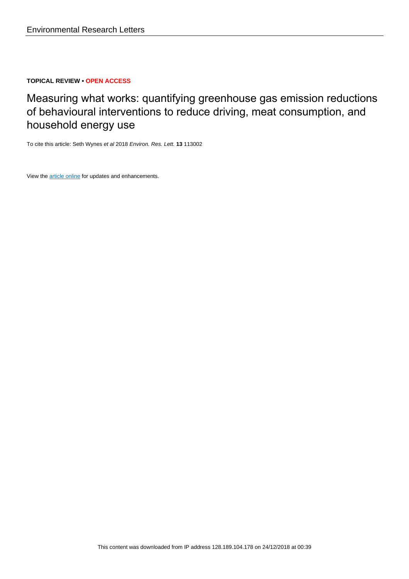# **TOPICAL REVIEW • OPEN ACCESS**

Measuring what works: quantifying greenhouse gas emission reductions of behavioural interventions to reduce driving, meat consumption, and household energy use

To cite this article: Seth Wynes et al 2018 Environ. Res. Lett. **13** 113002

View the [article online](https://doi.org/10.1088/1748-9326/aae5d7) for updates and enhancements.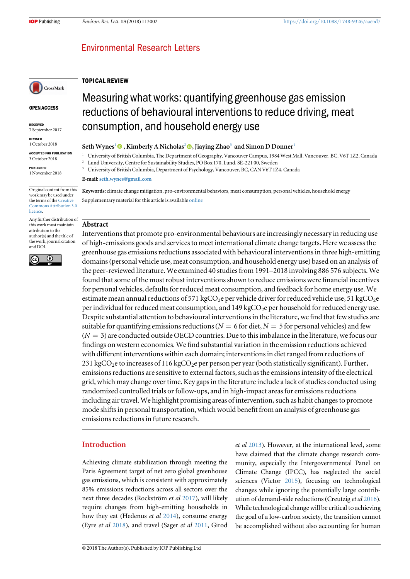# **Environmental Research Letters**



# TOPICAL REVIEW

### OPEN ACCESS

RECEIVED 7 September 2017

REVISED 1 October 2018

ACCEPTED FOR PUBLICATION 3 October 2018

PUBLISHED 1 November 2018

Original content from this work may be used under the terms of the [Creative](http://creativecommons.org/licenses/by/3.0) [Commons Attribution 3.0](http://creativecommons.org/licenses/by/3.0) [licence.](http://creativecommons.org/licenses/by/3.0)

Any further distribution of this work must maintain attribution to the author(s) and the title of the work, journal citation and DOI.



Measuring what works: quantifying greenhouse gas emission reductions of behavioural interventions to reduce driving, meat consumption, and household energy use

### Seth Wynes<sup>1</sup> **.** Kimberly A Nicholas<sup>2</sup> **.** Jiaying Zhao<sup>3</sup> and Simon D Donner<sup>1</sup>

<sup>1</sup> University of British Columbia, The Department of Geography, Vancouver Campus, 1984 West Mall, Vancouver, BC, V6T 1Z2, Canada <sup>2</sup> Lund University, Centre for Sustainability Studies, PO Box 170, Lund, SE-221 00, Sweden

<sup>3</sup> University of British Columbia, Department of Psychology, Vancouver, BC, CAN V6T 1Z4, Canada

### E-mail:[seth.wynes@gmail.com](mailto:seth.wynes@gmail.com)

Keywords: climate change mitigation, pro-environmental behaviors, meat consumption, personal vehicles, household energy Supplementary material for this article is available [online](https://doi.org/10.1088/1748-9326/aae5d7)

# Abstract

Interventions that promote pro-environmental behaviours are increasingly necessary in reducing use of high-emissions goods and services to meet international climate change targets. Here we assess the greenhouse gas emissions reductions associated with behavioural interventions in three high-emitting domains(personal vehicle use, meat consumption, and household energy use) based on an analysis of the peer-reviewed literature. We examined 40 studies from 1991–2018 involving 886 576 subjects. We found that some of the most robust interventions shown to reduce emissions were financial incentives for personal vehicles, defaults for reduced meat consumption, and feedback for home energy use. We estimate mean annual reductions of 571 kgCO<sub>2</sub>e per vehicle driver for reduced vehicle use, 51 kgCO<sub>2</sub>e per individual for reduced meat consumption, and 149 kgCO<sub>2</sub>e per household for reduced energy use. Despite substantial attention to behavioural interventions in the literature, we find that few studies are suitable for quantifying emissions reductions ( $N = 6$  for diet,  $N = 5$  for personal vehicles) and few  $(N = 3)$  are conducted outside OECD countries. Due to this imbalance in the literature, we focus our findings on western economies. We find substantial variation in the emission reductions achieved with different interventions within each domain; interventions in diet ranged from reductions of 231 kgCO<sub>2</sub>e to increases of 116 kgCO<sub>2</sub>e per person per year (both statistically significant). Further, emissions reductions are sensitive to external factors, such as the emissions intensity of the electrical grid, which may change over time. Key gaps in the literature include a lack of studies conducted using randomized controlled trials or follow-ups, and in high-impact areas for emissions reductions including air travel. We highlight promising areas of intervention, such as habit changes to promote mode shifts in personal transportation, which would benefit from an analysis of greenhouse gas emissions reductions in future research.

# Introduction

Achieving climate stabilization through meeting the Paris Agreement target of net zero global greenhouse gas emissions, which is consistent with approximately 85% emissions reductions across all sectors over the next three decades (Rockström et al [2017](#page-19-0)), will likely require changes from high-emitting households in how they eat (Hedenus et al [2014](#page-18-0)), consume energy (Eyre et al [2018](#page-18-0)), and travel (Sager et al [2011](#page-19-0), Girod et al [2013](#page-18-0)). However, at the international level, some have claimed that the climate change research community, especially the Intergovernmental Panel on Climate Change (IPCC), has neglected the social sciences (Victor [2015](#page-20-0)), focusing on technological changes while ignoring the potentially large contribution of demand-side reductions (Creutzig et al [2016](#page-18-0)). While technological change will be critical to achieving the goal of a low-carbon society, the transition cannot be accomplished without also accounting for human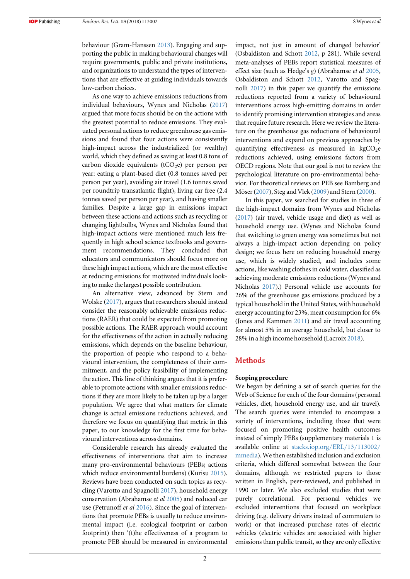behaviour (Gram-Hanssen [2013](#page-18-0)). Engaging and supporting the public in making behavioural changes will require governments, public and private institutions, and organizations to understand the types of interventions that are effective at guiding individuals towards low-carbon choices.

As one way to achieve emissions reductions from individual behaviours, Wynes and Nicholas ([2017](#page-20-0)) argued that more focus should be on the actions with the greatest potential to reduce emissions. They evaluated personal actions to reduce greenhouse gas emissions and found that four actions were consistently high-impact across the industrialized (or wealthy) world, which they defined as saving at least 0.8 tons of carbon dioxide equivalents ( $tCO<sub>2</sub>e$ ) per person per year: eating a plant-based diet (0.8 tonnes saved per person per year), avoiding air travel (1.6 tonnes saved per roundtrip transatlantic flight), living car free (2.4 tonnes saved per person per year), and having smaller families. Despite a large gap in emissions impact between these actions and actions such as recycling or changing lightbulbs, Wynes and Nicholas found that high-impact actions were mentioned much less frequently in high school science textbooks and government recommendations. They concluded that educators and communicators should focus more on these high impact actions, which are the most effective at reducing emissions for motivated individuals looking to make the largest possible contribution.

An alternative view, advanced by Stern and Wolske ([2017](#page-20-0)), argues that researchers should instead consider the reasonably achievable emissions reductions (RAER) that could be expected from promoting possible actions. The RAER approach would account for the effectiveness of the action in actually reducing emissions, which depends on the baseline behaviour, the proportion of people who respond to a behavioural intervention, the completeness of their commitment, and the policy feasibility of implementing the action. This line of thinking argues that it is preferable to promote actions with smaller emissions reductions if they are more likely to be taken up by a larger population. We agree that what matters for climate change is actual emissions reductions achieved, and therefore we focus on quantifying that metric in this paper, to our knowledge for the first time for behavioural interventions across domains.

Considerable research has already evaluated the effectiveness of interventions that aim to increase many pro-environmental behaviours (PEBs; actions which reduce environmental burdens) (Kurisu [2015](#page-19-0)). Reviews have been conducted on such topics as recycling (Varotto and Spagnolli [2017](#page-20-0)), household energy conservation (Abrahamse et al [2005](#page-17-0)) and reduced car use (Petrunoff et al [2016](#page-19-0)). Since the goal of interventions that promote PEBs is usually to reduce environmental impact (i.e. ecological footprint or carbon footprint) then '(t)he effectiveness of a program to promote PEB should be measured in environmental impact, not just in amount of changed behavior' (Osbaldiston and Schott [2012,](#page-19-0) p 281). While several meta-analyses of PEBs report statistical measures of effect size (such as Hedge's g) (Abrahamse et al [2005](#page-17-0), Osbaldiston and Schott [2012,](#page-19-0) Varotto and Spagnolli [2017](#page-20-0)) in this paper we quantify the emissions reductions reported from a variety of behavioural interventions across high-emitting domains in order to identify promising intervention strategies and areas that require future research. Here we review the literature on the greenhouse gas reductions of behavioural interventions and expand on previous approaches by quantifying effectiveness as measured in  $\text{kgCO}_{2}e$ reductions achieved, using emissions factors from OECD regions. Note that our goal is not to review the psychological literature on pro-environmental behavior. For theoretical reviews on PEB see Bamberg and Möser([2007](#page-18-0)), Steg and Vlek ([2009](#page-20-0)) and Stern ([2000](#page-20-0)).

In this paper, we searched for studies in three of the high-impact domains from Wynes and Nicholas ([2017](#page-20-0)) (air travel, vehicle usage and diet) as well as household energy use. (Wynes and Nicholas found that switching to green energy was sometimes but not always a high-impact action depending on policy design; we focus here on reducing household energy use, which is widely studied, and includes some actions, like washing clothes in cold water, classified as achieving moderate emissions reductions (Wynes and Nicholas [2017](#page-20-0)).) Personal vehicle use accounts for 26% of the greenhouse gas emissions produced by a typical household in the United States, with household energy accounting for 23%, meat consumption for 6% (Jones and Kammen [2011](#page-19-0)) and air travel accounting for almost 5% in an average household, but closer to 28% in a high income household (Lacroix [2018](#page-19-0)).

# **Methods**

### Scoping procedure

We began by defining a set of search queries for the Web of Science for each of the four domains (personal vehicles, diet, household energy use, and air travel). The search queries were intended to encompass a variety of interventions, including those that were focused on promoting positive health outcomes instead of simply PEBs (supplementary materials 1 is available online at [stacks.iop.org](http://stacks.iop.org/ERL/13/113002/mmedia)/ERL/13/113002/ [mmedia](http://stacks.iop.org/ERL/13/113002/mmedia)). We then established inclusion and exclusion criteria, which differed somewhat between the four domains, although we restricted papers to those written in English, peer-reviewed, and published in 1990 or later. We also excluded studies that were purely correlational. For personal vehicles we excluded interventions that focused on workplace driving (e.g. delivery drivers instead of commuters to work) or that increased purchase rates of electric vehicles (electric vehicles are associated with higher emissions than public transit, so they are only effective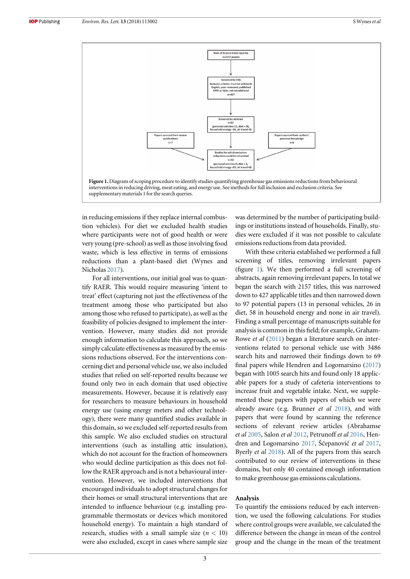

in reducing emissions if they replace internal combustion vehicles). For diet we excluded health studies where participants were not of good health or were very young (pre-school) as well as those involving food waste, which is less effective in terms of emissions reductions than a plant-based diet (Wynes and Nicholas [2017](#page-20-0)).

For all interventions, our initial goal was to quantify RAER. This would require measuring 'intent to treat' effect (capturing not just the effectiveness of the treatment among those who participated but also among those who refused to participate), as well as the feasibility of policies designed to implement the intervention. However, many studies did not provide enough information to calculate this approach, so we simply calculate effectiveness as measured by the emissions reductions observed. For the interventions concerning diet and personal vehicle use, we also included studies that relied on self-reported results because we found only two in each domain that used objective measurements. However, because it is relatively easy for researchers to measure behaviours in household energy use (using energy meters and other technology), there were many quantified studies available in this domain, so we excluded self-reported results from this sample. We also excluded studies on structural interventions (such as installing attic insulation), which do not account for the fraction of homeowners who would decline participation as this does not follow the RAER approach and is not a behavioural intervention. However, we included interventions that encouraged individuals to adopt structural changes for their homes or small structural interventions that are intended to influence behaviour (e.g. installing programmable thermostats or devices which monitored household energy). To maintain a high standard of research, studies with a small sample size  $(n < 10)$ were also excluded, except in cases where sample size was determined by the number of participating buildings or institutions instead of households. Finally, studies were excluded if it was not possible to calculate emissions reductions from data provided.

With these criteria established we performed a full screening of titles, removing irrelevant papers (figure 1). We then performed a full screening of abstracts, again removing irrelevant papers. In total we began the search with 2157 titles, this was narrowed down to 427 applicable titles and then narrowed down to 97 potential papers (13 in personal vehicles, 26 in diet, 58 in household energy and none in air travel). Finding a small percentage of manuscripts suitable for analysis is common in this field; for example, Graham-Rowe et al ([2011](#page-18-0)) began a literature search on interventions related to personal vehicle use with 3486 search hits and narrowed their findings down to 69 final papers while Hendren and Logomarsino ([2017](#page-19-0)) began with 1005 search hits and found only 18 applicable papers for a study of cafeteria interventions to increase fruit and vegetable intake. Next, we supplemented these papers with papers of which we were already aware (e.g. Brunner et al [2018](#page-18-0)), and with papers that were found by scanning the reference sections of relevant review articles (Abrahamse et al [2005](#page-17-0), Salon et al [2012](#page-19-0), Petrunoff et al [2016](#page-19-0), Hendren and Logomarsino [2017,](#page-19-0) Šćepanović et al [2017](#page-19-0), Byerly et al [2018](#page-18-0)). All of the papers from this search contributed to our review of interventions in these domains, but only 40 contained enough information to make greenhouse gas emissions calculations.

### Analysis

To quantify the emissions reduced by each intervention, we used the following calculations. For studies where control groups were available, we calculated the difference between the change in mean of the control group and the change in the mean of the treatment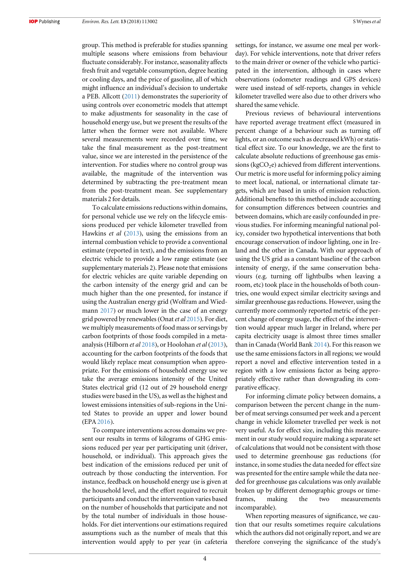group. This method is preferable for studies spanning multiple seasons where emissions from behaviour fluctuate considerably. For instance, seasonality affects fresh fruit and vegetable consumption, degree heating or cooling days, and the price of gasoline, all of which might influence an individual's decision to undertake a PEB. Allcott ([2011](#page-17-0)) demonstrates the superiority of using controls over econometric models that attempt to make adjustments for seasonality in the case of household energy use, but we present the results of the latter when the former were not available. Where several measurements were recorded over time, we take the final measurement as the post-treatment value, since we are interested in the persistence of the intervention. For studies where no control group was available, the magnitude of the intervention was determined by subtracting the pre-treatment mean from the post-treatment mean. See supplementary materials 2 for details.

To calculate emissions reductions within domains, for personal vehicle use we rely on the lifecycle emissions produced per vehicle kilometer travelled from Hawkins et al ([2013](#page-18-0)), using the emissions from an internal combustion vehicle to provide a conventional estimate (reported in text), and the emissions from an electric vehicle to provide a low range estimate (see supplementary materials 2). Please note that emissions for electric vehicles are quite variable depending on the carbon intensity of the energy grid and can be much higher than the one presented, for instance if using the Australian energy grid (Wolfram and Wiedmann [2017](#page-20-0)) or much lower in the case of an energy grid powered by renewables (Onat et al [2015](#page-19-0)). For diet, we multiply measurements of food mass or servings by carbon footprints of those foods compiled in a metaanalysis (Hilborn et al [2018](#page-19-0)), or Hoolohan et al ([2013](#page-19-0)), accounting for the carbon footprints of the foods that would likely replace meat consumption when appropriate. For the emissions of household energy use we take the average emissions intensity of the United States electrical grid (12 out of 29 household energy studies were based in the US), as well as the highest and lowest emissions intensities of sub-regions in the United States to provide an upper and lower bound (EPA [2016](#page-18-0)).

To compare interventions across domains we present our results in terms of kilograms of GHG emissions reduced per year per participating unit (driver, household, or individual). This approach gives the best indication of the emissions reduced per unit of outreach by those conducting the intervention. For instance, feedback on household energy use is given at the household level, and the effort required to recruit participants and conduct the intervention varies based on the number of households that participate and not by the total number of individuals in those households. For diet interventions our estimations required assumptions such as the number of meals that this intervention would apply to per year (in cafeteria settings, for instance, we assume one meal per workday). For vehicle interventions, note that driver refers to the main driver or owner of the vehicle who participated in the intervention, although in cases where observations (odometer readings and GPS devices) were used instead of self-reports, changes in vehicle kilometer travelled were also due to other drivers who shared the same vehicle.

Previous reviews of behavioural interventions have reported average treatment effect (measured in percent change of a behaviour such as turning off lights, or an outcome such as decreased kWh) or statistical effect size. To our knowledge, we are the first to calculate absolute reductions of greenhouse gas emissions (kgCO<sub>2</sub>e) achieved from different interventions. Our metric is more useful for informing policy aiming to meet local, national, or international climate targets, which are based in units of emission reduction. Additional benefits to this method include accounting for consumption differences between countries and between domains, which are easily confounded in previous studies. For informing meaningful national policy, consider two hypothetical interventions that both encourage conservation of indoor lighting, one in Ireland and the other in Canada. With our approach of using the US grid as a constant baseline of the carbon intensity of energy, if the same conservation behaviours (e.g. turning off lightbulbs when leaving a room, etc) took place in the households of both countries, one would expect similar electricity savings and similar greenhouse gas reductions. However, using the currently more commonly reported metric of the percent change of energy usage, the effect of the intervention would appear much larger in Ireland, where per capita electricity usage is almost three times smaller than in Canada (World Bank [2014](#page-20-0)). For this reason we use the same emissions factors in all regions; we would report a novel and effective intervention tested in a region with a low emissions factor as being appropriately effective rather than downgrading its comparative efficacy.

For informing climate policy between domains, a comparison between the percent change in the number of meat servings consumed per week and a percent change in vehicle kilometer travelled per week is not very useful. As for effect size, including this measurement in our study would require making a separate set of calculations that would not be consistent with those used to determine greenhouse gas reductions (for instance, in some studies the data needed for effect size was presented for the entire sample while the data needed for greenhouse gas calculations was only available broken up by different demographic groups or timeframes, making the two measurements incomparable).

When reporting measures of significance, we caution that our results sometimes require calculations which the authors did not originally report, and we are therefore conveying the significance of the study's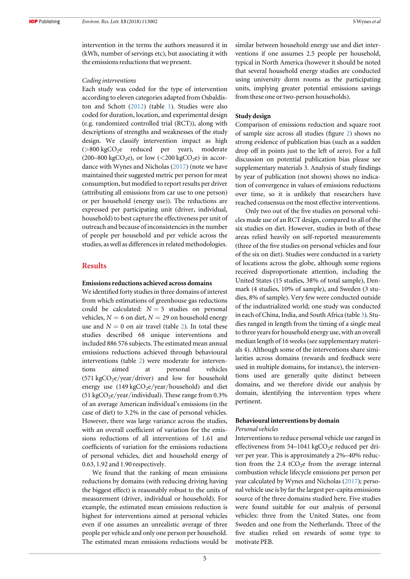intervention in the terms the authors measured it in (kWh, number of servings etc), but associating it with the emissions reductions that we present.

### Coding interventions

Each study was coded for the type of intervention according to eleven categories adapted from Osbaldiston and Schott ([2012](#page-19-0)) (table [1](#page-6-0)). Studies were also coded for duration, location, and experimental design (e.g. randomized controlled trial (RCT)), along with descriptions of strengths and weaknesses of the study design. We classify intervention impact as high  $(>800 \text{ kgCO}_2e$  reduced per year), moderate (200–800 kgCO<sub>2</sub>e), or low ( $\langle 200 \text{ kgCO}_2e \rangle$  in accordance with Wynes and Nicholas ([2017](#page-20-0)) (note we have maintained their suggested metric per person for meat consumption, but modified to report results per driver (attributing all emissions from car use to one person) or per household (energy use)). The reductions are expressed per participating unit (driver, individual, household) to best capture the effectiveness per unit of outreach and because of inconsistencies in the number of people per household and per vehicle across the studies, as well as differences in related methodologies.

# Results

### Emissions reductions achieved across domains

We identified forty studies in three domains of interest from which estimations of greenhouse gas reductions could be calculated:  $N = 5$  studies on personal vehicles,  $N = 6$  on diet,  $N = 29$  on household energy use and  $N = 0$  on air travel (table [2](#page-7-0)). In total these studies described 68 unique interventions and included 886 576 subjects. The estimated mean annual emissions reductions achieved through behavioural interventions (table [2](#page-7-0)) were moderate for interventions aimed at personal vehicles  $(571 \text{ kgCO}_2e/year/driver)$  and low for household energy use  $(149 \text{ kgCO}_2\text{e}/\text{year}/\text{household})$  and diet  $(51 \text{ kgCO}_2e/year/individual)$ . These range from 0.3% of an average American individual's emissions (in the case of diet) to 3.2% in the case of personal vehicles. However, there was large variance across the studies, with an overall coefficient of variation for the emissions reductions of all interventions of 1.61 and coefficients of variation for the emissions reductions of personal vehicles, diet and household energy of 0.63, 1.92 and 1.90 respectively.

We found that the ranking of mean emissions reductions by domains (with reducing driving having the biggest effect) is reasonably robust to the units of measurement (driver, individual or household). For example, the estimated mean emissions reduction is highest for interventions aimed at personal vehicles even if one assumes an unrealistic average of three people per vehicle and only one person per household. The estimated mean emissions reductions would be similar between household energy use and diet interventions if one assumes 2.5 people per household, typical in North America (however it should be noted that several household energy studies are conducted using university dorm rooms as the participating units, implying greater potential emissions savings from these one or two-person households).

# Study design

Comparison of emissions reduction and square root of sample size across all studies (figure [2](#page-8-0)) shows no strong evidence of publication bias (such as a sudden drop off in points just to the left of zero). For a full discussion on potential publication bias please see supplementary materials 3. Analysis of study findings by year of publication (not shown) shows no indication of convergence in values of emissions reductions over time, so it is unlikely that researchers have reached consensus on the most effective interventions.

Only two out of the five studies on personal vehicles made use of an RCT design, compared to all of the six studies on diet. However, studies in both of these areas relied heavily on self-reported measurements (three of the five studies on personal vehicles and four of the six on diet). Studies were conducted in a variety of locations across the globe, although some regions received disproportionate attention, including the United States (15 studies, 38% of total sample), Denmark (4 studies, 10% of sample), and Sweden (3 studies, 8% of sample). Very few were conducted outside of the industrialized world; one study was conducted in each of China, India, and South Africa (table [3](#page-9-0)). Studies ranged in length from the timing of a single meal to three years for household energy use, with an overall median length of 16 weeks (see supplementary materials 4). Although some of the interventions share similarities across domains (rewards and feedback were used in multiple domains, for instance), the interventions used are generally quite distinct between domains, and we therefore divide our analysis by domain, identifying the intervention types where pertinent.

# Behavioural interventions by domain Personal vehicles

# Interventions to reduce personal vehicle use ranged in effectiveness from  $54-1041$  kgCO<sub>2</sub>e reduced per dri-

ver per year. This is approximately a 2%–40% reduction from the  $2.4$  tCO<sub>2</sub>e from the average internal combustion vehicle lifecycle emissions per person per year calculated by Wynes and Nicholas ([2017](#page-20-0)); personal vehicle use is by far the largest per-capita emissions source of the three domains studied here. Five studies were found suitable for our analysis of personal vehicles: three from the United States, one from Sweden and one from the Netherlands. Three of the five studies relied on rewards of some type to motivate PEB.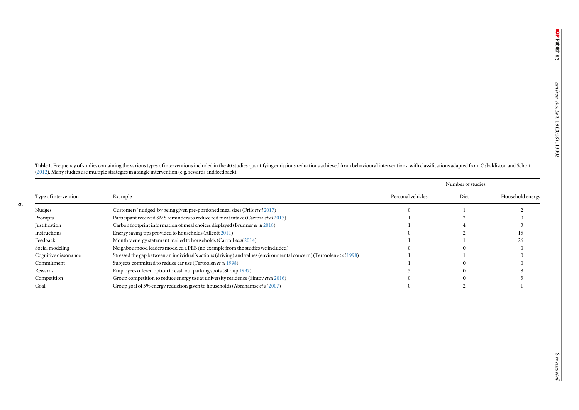<span id="page-6-0"></span>Table 1. Frequency of studies containing the various types of interventions included in the 40 studies quantifying emissions reductions achieved from behavioural interventions, with classifications adapted from Osbaldiston ([2012](#page-19-0)). Many studies use multiple strategies in <sup>a</sup> single intervention (e.g. rewards and feedback).

 $\circ$ 

|                      |                                                                                                                      | Number of studies |      |                  |  |
|----------------------|----------------------------------------------------------------------------------------------------------------------|-------------------|------|------------------|--|
| Type of intervention | Example                                                                                                              | Personal vehicles | Diet | Household energy |  |
| Nudges               | Customers 'nudged' by being given pre-portioned meal sizes (Friis et al 2017)                                        |                   |      |                  |  |
| Prompts              | Participant received SMS reminders to reduce red meat intake (Carfora et al 2017)                                    |                   |      |                  |  |
| Justification        | Carbon footprint information of meal choices displayed (Brunner et al 2018)                                          |                   |      |                  |  |
| Instructions         | Energy saving tips provided to households (Allcott 2011)                                                             |                   |      |                  |  |
| Feedback             | Monthly energy statement mailed to households (Carroll et al 2014)                                                   |                   |      |                  |  |
| Social modeling      | Neighbourhood leaders modeled a PEB (no example from the studies we included)                                        |                   |      |                  |  |
| Cognitive dissonance | Stressed the gap between an individual's actions (driving) and values (environmental concern) (Tertoolen et al 1998) |                   |      |                  |  |
| Commitment           | Subjects committed to reduce car use (Tertoolen et al 1998)                                                          |                   |      |                  |  |
| Rewards              | Employees offered option to cash out parking spots (Shoup 1997)                                                      |                   |      |                  |  |
| Competition          | Group competition to reduce energy use at university residence (Sintov et al 2016)                                   |                   |      |                  |  |
| Goal                 | Group goal of 5% energy reduction given to households (Abrahamse et al 2007)                                         |                   |      |                  |  |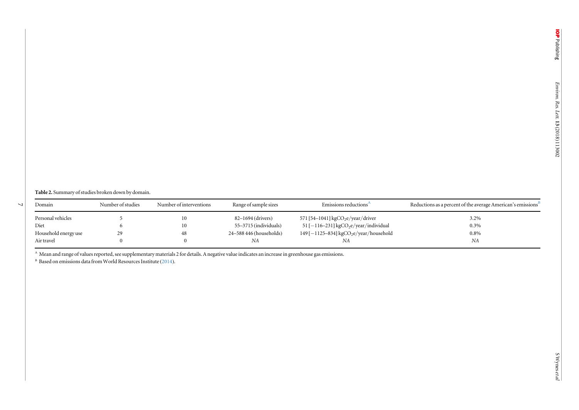#### <span id="page-7-0"></span>Table 2. Summary of studies broken down by domain.

 $\overline{2}$ 

| Domain               | Number of studies | Number of interventions | Range of sample sizes   | Emissions reductions <sup>A</sup>                    | Reductions as a percent of the average American's emissions <sup>15</sup> |
|----------------------|-------------------|-------------------------|-------------------------|------------------------------------------------------|---------------------------------------------------------------------------|
| Personal vehicles    |                   | 10                      | 82–1694 (drivers)       | 571 [54-1041] $\text{kgCO}_2$ e/year/driver          | 3.2%                                                                      |
| Diet                 |                   | 10                      | 55–3715 (individuals)   | $51[-116-231]\text{kgCO}_2e/year/individual$         | $0.3\%$                                                                   |
| Household energy use |                   | 48                      | 24–588 446 (households) | $149$ [-1125-834] kgCO <sub>2</sub> e/year/household | $0.8\%$                                                                   |
| Air travel           |                   |                         | IVA.                    | ΝA                                                   | ΝA                                                                        |

 $^{\text{A}}$  Mean and range of values reported, see supplementary materials 2 for details. A negative value indicates an increase in greenhouse gas emissions.<br><sup>B</sup> Based on emissions data from World Resources Institute ([2014](#page-20-0)).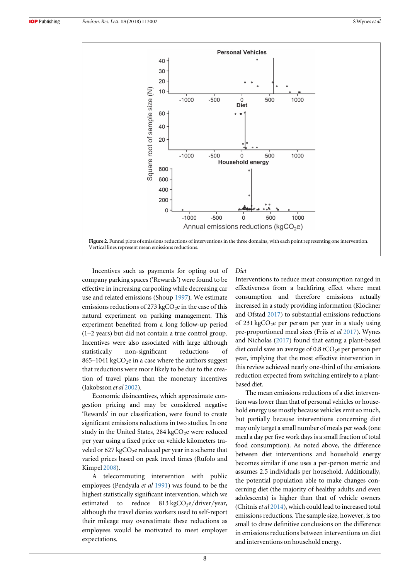<span id="page-8-0"></span>

Incentives such as payments for opting out of company parking spaces ('Rewards') were found to be effective in increasing carpooling while decreasing car use and related emissions (Shoup [1997](#page-20-0)). We estimate emissions reductions of 273 kgCO<sub>2</sub>e in the case of this natural experiment on parking management. This experiment benefited from a long follow-up period (1–2 years) but did not contain a true control group. Incentives were also associated with large although statistically non-significant reductions of 865–1041 kg $CO<sub>2</sub>e$  in a case where the authors suggest that reductions were more likely to be due to the creation of travel plans than the monetary incentives (Jakobsson et al [2002](#page-19-0)).

Economic disincentives, which approximate congestion pricing and may be considered negative 'Rewards' in our classification, were found to create significant emissions reductions in two studies. In one study in the United States,  $284 \text{ kgCO}_2$ e were reduced per year using a fixed price on vehicle kilometers traveled or  $627 \text{ kgCO}_2$ e reduced per year in a scheme that varied prices based on peak travel times (Rufolo and Kimpel [2008](#page-19-0)).

A telecommuting intervention with public employees (Pendyala et al [1991](#page-19-0)) was found to be the highest statistically significant intervention, which we estimated to reduce  $813 \text{ kgCO}_2$ e/driver/year, although the travel diaries workers used to self-report their mileage may overestimate these reductions as employees would be motivated to meet employer expectations.

Diet

Interventions to reduce meat consumption ranged in effectiveness from a backfiring effect where meat consumption and therefore emissions actually increased in a study providing information (Klöckner and Ofstad [2017](#page-19-0)) to substantial emissions reductions of 231 kg $CO<sub>2</sub>e$  per person per year in a study using pre-proportioned meal sizes (Friis et al [2017](#page-18-0)). Wynes and Nicholas ([2017](#page-20-0)) found that eating a plant-based diet could save an average of  $0.8$  tCO<sub>2</sub>e per person per year, implying that the most effective intervention in this review achieved nearly one-third of the emissions reduction expected from switching entirely to a plantbased diet.

The mean emissions reductions of a diet intervention was lower than that of personal vehicles or household energy use mostly because vehicles emit so much, but partially because interventions concerning diet may only target a small number of meals per week (one meal a day per five work days is a small fraction of total food consumption). As noted above, the difference between diet interventions and household energy becomes similar if one uses a per-person metric and assumes 2.5 individuals per household. Additionally, the potential population able to make changes concerning diet (the majority of healthy adults and even adolescents) is higher than that of vehicle owners (Chitnis et al  $2014$ ), which could lead to increased total emissions reductions. The sample size, however, is too small to draw definitive conclusions on the difference in emissions reductions between interventions on diet and interventions on household energy.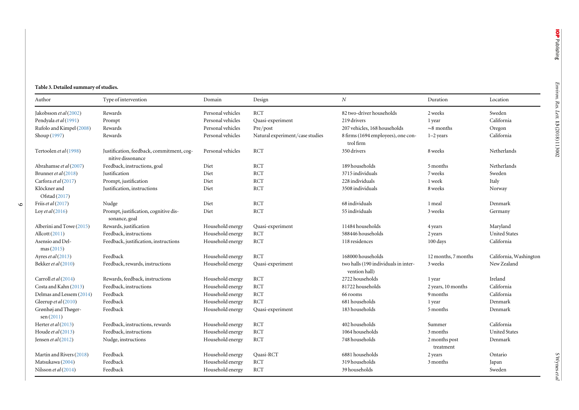# Environ. Res. Lett. 13 (2018 ) 113002

# <span id="page-9-0"></span>Table 3. Detailed summary of studies.

 $\circ$ 

| Author                                  | Type of intervention                                           | Domain            | Design                          | $\cal N$                                              | Duration                   | Location               |
|-----------------------------------------|----------------------------------------------------------------|-------------------|---------------------------------|-------------------------------------------------------|----------------------------|------------------------|
| Jakobsson et al (2002)                  | Rewards                                                        | Personal vehicles | <b>RCT</b>                      | 82 two-driver households                              | 2 weeks                    | Sweden                 |
| Pendyala et al (1991)                   | Prompt                                                         | Personal vehicles | Quasi-experiment                | 219 drivers                                           | 1 year                     | California             |
| Rufolo and Kimpel (2008)                | Rewards                                                        | Personal vehicles | Pre/post                        | 207 vehicles, 168 households                          | $\sim$ 8 months            | Oregon                 |
| Shoup (1997)                            | Rewards                                                        | Personal vehicles | Natural experiment/case studies | 8 firms (1694 employees), one con-<br>trol firm       | $1-2$ years                | California             |
| Tertoolen et al (1998)                  | Justification, feedback, commitment, cog-<br>nitive dissonance | Personal vehicles | <b>RCT</b>                      | 350 drivers                                           | 8 weeks                    | Netherlands            |
| Abrahamse et al (2007)                  | Feedback, instructions, goal                                   | Diet              | <b>RCT</b>                      | 189 households                                        | 5 months                   | Netherlands            |
| Brunner et al (2018)                    | Justification                                                  | Diet              | <b>RCT</b>                      | 3715 individuals                                      | 7 weeks                    | Sweden                 |
| Carfora et al (2017)                    | Prompt, justification                                          | Diet              | <b>RCT</b>                      | 228 individuals                                       | 1 week                     | Italy                  |
| Klöckner and<br>Ofstad (2017)           | Justification, instructions                                    | Diet              | <b>RCT</b>                      | 3508 individuals                                      | 8 weeks                    | Norway                 |
| Friis et al $(2017)$                    | Nudge                                                          | Diet              | <b>RCT</b>                      | 68 individuals                                        | 1 meal                     | Denmark                |
| Loy et al $(2016)$                      | Prompt, justification, cognitive dis-<br>sonance, goal         | Diet              | <b>RCT</b>                      | 55 individuals                                        | 3 weeks                    | Germany                |
| Alberini and Towe (2015)                | Rewards, justification                                         | Household energy  | Quasi-experiment                | 11484 households                                      | 4 years                    | Maryland               |
| Allcott (2011)                          | Feedback, instructions                                         | Household energy  | <b>RCT</b>                      | 588446 households                                     | 2 years                    | <b>United States</b>   |
| Asensio and Del-<br>$\text{mas} (2015)$ | Feedback, justification, instructions                          | Household energy  | <b>RCT</b>                      | 118 residences                                        | 100 days                   | California             |
| Ayres et al $(2013)$                    | Feedback                                                       | Household energy  | <b>RCT</b>                      | 168000 households                                     | 12 months, 7 months        | California, Washington |
| Bekker et al (2010)                     | Feedback, rewards, instructions                                | Household energy  | Quasi-experiment                | two halls (190 individuals in inter-<br>vention hall) | 3 weeks                    | New Zealand            |
| Carroll et al $(2014)$                  | Rewards, feedback, instructions                                | Household energy  | <b>RCT</b>                      | 2722 households                                       | 1 year                     | Ireland                |
| Costa and Kahn (2013)                   | Feedback, instructions                                         | Household energy  | <b>RCT</b>                      | 81722 households                                      | 2 years, 10 months         | California             |
| Delmas and Lessem (2014)                | Feedback                                                       | Household energy  | <b>RCT</b>                      | 66 rooms                                              | 9 months                   | California             |
| Gleerup et al (2010)                    | Feedback                                                       | Household energy  | <b>RCT</b>                      | 681 households                                        | 1 year                     | Denmark                |
| Grønhøj and Thøger-<br>sen(2011)        | Feedback                                                       | Household energy  | Quasi-experiment                | 183 households                                        | 5 months                   | Denmark                |
| Herter et al (2013)                     | Feedback, instructions, rewards                                | Household energy  | <b>RCT</b>                      | 402 households                                        | Summer                     | California             |
| Houde et al $(2013)$                    | Feedback, instructions                                         | Household energy  | <b>RCT</b>                      | 1064 households                                       | 3 months                   | <b>United States</b>   |
| Jensen et al $(2012)$                   | Nudge, instructions                                            | Household energy  | <b>RCT</b>                      | 748 households                                        | 2 months post<br>treatment | Denmark                |
| Martin and Rivers (2018)                | Feedback                                                       | Household energy  | Quasi-RCT                       | 6881 households                                       | 2 years                    | Ontario                |
| Matsukawa (2004)                        | Feedback                                                       | Household energy  | <b>RCT</b>                      | 319 households                                        | 3 months                   | Japan                  |
| Nilsson et al $(2014)$                  | Feedback                                                       | Household energy  | <b>RCT</b>                      | 39 households                                         |                            | Sweden                 |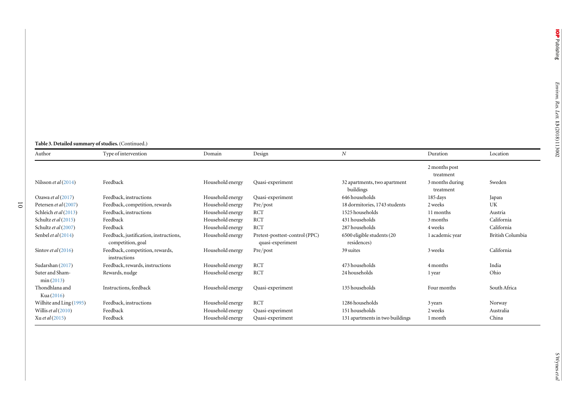# Table 3. Detailed summary of studies. (Continued.)

10

| Author                       | Type of intervention                                        | Domain           | Design                                             | $\boldsymbol{N}$                          | Duration                     | Location         |
|------------------------------|-------------------------------------------------------------|------------------|----------------------------------------------------|-------------------------------------------|------------------------------|------------------|
|                              |                                                             |                  |                                                    |                                           | 2 months post<br>treatment   |                  |
| Nilsson et al $(2014)$       | Feedback                                                    | Household energy | Quasi-experiment                                   | 32 apartments, two apartment<br>buildings | 3 months during<br>treatment | Sweden           |
| Ozawa et al (2017)           | Feedback, instructions                                      | Household energy | Quasi-experiment                                   | 646 households                            | 185 days                     | Japan            |
| Petersen et al (2007)        | Feedback, competition, rewards                              | Household energy | Pre / post                                         | 18 dormitories, 1743 students             | 2 weeks                      | UK               |
| Schleich et al (2013)        | Feedback, instructions                                      | Household energy | <b>RCT</b>                                         | 1525 households                           | 11 months                    | Austria          |
| Schultz et al $(2015)$       | Feedback                                                    | Household energy | <b>RCT</b>                                         | 431 households                            | 3 months                     | California       |
| Schultz et al (2007)         | Feedback                                                    | Household energy | <b>RCT</b>                                         | 287 households                            | 4 weeks                      | California       |
| Senbel et al (2014)          | Feedback, justification, instructions,<br>competition, goal | Household energy | Pretest-posttest-control (PPC)<br>quasi-experiment | 6500 eligible students (20<br>residences) | 1 academic year              | British Columbia |
| Sintov et al $(2016)$        | Feedback, competition, rewards,<br>instructions             | Household energy | Pre/post                                           | 39 suites                                 | 3 weeks                      | California       |
| Sudarshan (2017)             | Feedback, rewards, instructions                             | Household energy | <b>RCT</b>                                         | 473 households                            | 4 months                     | India            |
| Suter and Sham-<br>min(2013) | Rewards, nudge                                              | Household energy | <b>RCT</b>                                         | 24 households                             | 1 year                       | Ohio             |
| Thondhlana and<br>Kua(2016)  | Instructions, feedback                                      | Household energy | Quasi-experiment                                   | 135 households                            | Four months                  | South Africa     |
| Wilhite and Ling (1995)      | Feedback, instructions                                      | Household energy | <b>RCT</b>                                         | 1286 households                           | 3 years                      | Norway           |
| Willis $et al(2010)$         | Feedback                                                    | Household energy | Quasi-experiment                                   | 151 households                            | 2 weeks                      | Australia        |
| $X$ u et al $(2015)$         | Feedback                                                    | Household energy | Quasi-experiment                                   | 131 apartments in two buildings           | 1 month                      | China            |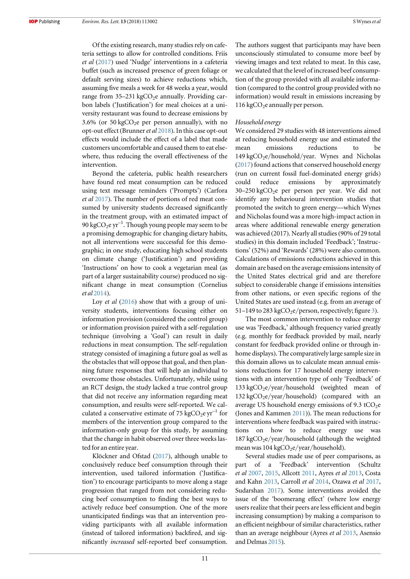Of the existing research, many studies rely on cafeteria settings to allow for controlled conditions. Friis et al ([2017](#page-18-0)) used 'Nudge' interventions in a cafeteria buffet (such as increased presence of green foliage or default serving sizes) to achieve reductions which, assuming five meals a week for 48 weeks a year, would range from  $35-231 \text{ kgCO}_{2}e$  annually. Providing carbon labels ('Justification') for meal choices at a university restaurant was found to decrease emissions by 3.6% (or 50 kgCO<sub>2</sub>e per person annually), with no opt-out effect (Brunner et al  $2018$ ). In this case opt-out effects would include the effect of a label that made customers uncomfortable and caused them to eat elsewhere, thus reducing the overall effectiveness of the intervention.

Beyond the cafeteria, public health researchers have found red meat consumption can be reduced using text message reminders ('Prompts') (Carfora et al [2017](#page-18-0)). The number of portions of red meat consumed by university students decreased significantly in the treatment group, with an estimated impact of 90 kgCO<sub>2</sub>e yr<sup>-1</sup>. Though young people may seem to be a promising demographic for changing dietary habits, not all interventions were successful for this demographic; in one study, educating high school students on climate change ('Justification') and providing 'Instructions' on how to cook a vegetarian meal (as part of a larger sustainability course) produced no significant change in meat consumption (Cornelius et al [2014](#page-18-0)).

Loy *et al* ([2016](#page-19-0)) show that with a group of university students, interventions focusing either on information provision (considered the control group) or information provision paired with a self-regulation technique (involving a 'Goal') can result in daily reductions in meat consumption. The self-regulation strategy consisted of imagining a future goal as well as the obstacles that will oppose that goal, and then planning future responses that will help an individual to overcome those obstacles. Unfortunately, while using an RCT design, the study lacked a true control group that did not receive any information regarding meat consumption, and results were self-reported. We calculated a conservative estimate of 75 kgCO<sub>2</sub>e yr<sup>-1</sup> for members of the intervention group compared to the information-only group for this study, by assuming that the change in habit observed over three weeks lasted for an entire year.

Klöckner and Ofstad ([2017](#page-19-0)), although unable to conclusively reduce beef consumption through their intervention, used tailored information ('Justification') to encourage participants to move along a stage progression that ranged from not considering reducing beef consumption to finding the best ways to actively reduce beef consumption. One of the more unanticipated findings was that an intervention providing participants with all available information (instead of tailored information) backfired, and significantly increased self-reported beef consumption. The authors suggest that participants may have been unconsciously stimulated to consume more beef by viewing images and text related to meat. In this case, we calculated that the level of increased beef consumption of the group provided with all available information (compared to the control group provided with no information) would result in emissions increasing by 116 kgCO<sub>2</sub>e annually per person.

### Household energy

We considered 29 studies with 48 interventions aimed at reducing household energy use and estimated the mean emissions reductions to be  $149 \text{ kgCO}_2$ e/household/year. Wynes and Nicholas ([2017](#page-20-0)) found actions that conserved household energy (run on current fossil fuel-dominated energy grids) could reduce emissions by approximately  $30-250$  kgCO<sub>2</sub>e per person per year. We did not identify any behavioural intervention studies that promoted the switch to green energy—which Wynes and Nicholas found was a more high-impact action in areas where additional renewable energy generation was achieved (2017). Nearly all studies(90% of 29 total studies) in this domain included 'Feedback'; 'Instructions' (52%) and 'Rewards' (28%) were also common. Calculations of emissions reductions achieved in this domain are based on the average emissions intensity of the United States electrical grid and are therefore subject to considerable change if emissions intensities from other nations, or even specific regions of the United States are used instead (e.g. from an average of 51–149 to 28[3](#page-12-0) kgCO<sub>2</sub>e/person, respectively; figure 3).

The most common intervention to reduce energy use was 'Feedback,' although frequency varied greatly (e.g. monthly for feedback provided by mail, nearly constant for feedback provided online or through inhome displays). The comparatively large sample size in this domain allows us to calculate mean annual emissions reductions for 17 household energy interventions with an intervention type of only 'Feedback' of 133 kgCO<sub>2</sub>e/year/household (weighted mean of 132 kgCO<sub>2</sub>e/year/household) (compared with an average US household energy emissions of 9.3 tCO<sub>2</sub>e (Jones and Kammen [2011](#page-19-0))). The mean reductions for interventions where feedback was paired with instructions on how to reduce energy use was 187 kgCO<sub>2</sub>e/year/household (although the weighted mean was 104 kgCO<sub>2</sub>e/year/household).

Several studies made use of peer comparisons, as part of a 'Feedback' intervention (Schultz et al [2007,](#page-20-0) [2015,](#page-19-0) Allcott [2011](#page-17-0), Ayres et al [2013](#page-18-0), Costa and Kahn [2013,](#page-18-0) Carroll et al [2014](#page-18-0), Ozawa et al [2017](#page-19-0), Sudarshan [2017](#page-20-0)). Some interventions avoided the issue of the 'boomerang effect' (where low energy users realize that their peers are less efficient and begin increasing consumption) by making a comparison to an efficient neighbour of similar characteristics, rather than an average neighbour (Ayres et al [2013](#page-18-0), Asensio and Delmas [2015](#page-18-0)).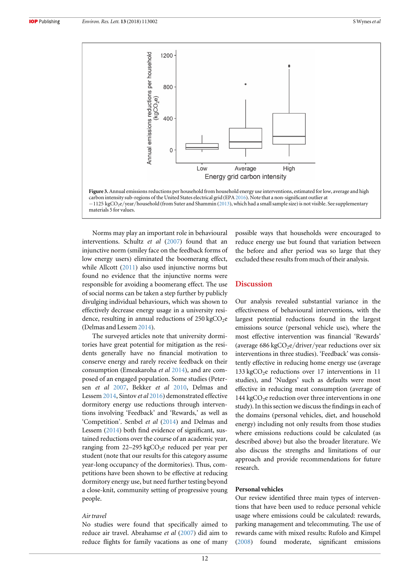<span id="page-12-0"></span>

materials 5 for values.

Norms may play an important role in behavioural interventions. Schultz et al ([2007](#page-20-0)) found that an injunctive norm (smiley face on the feedback forms of low energy users) eliminated the boomerang effect, while Allcott ([2011](#page-17-0)) also used injunctive norms but found no evidence that the injunctive norms were responsible for avoiding a boomerang effect. The use of social norms can be taken a step further by publicly divulging individual behaviours, which was shown to effectively decrease energy usage in a university residence, resulting in annual reductions of  $250 \text{ kgCO}_2$ e (Delmas and Lessem [2014](#page-18-0)).

The surveyed articles note that university dormitories have great potential for mitigation as the residents generally have no financial motivation to conserve energy and rarely receive feedback on their consumption (Emeakaroha et al [2014](#page-18-0)), and are composed of an engaged population. Some studies (Petersen et al [2007,](#page-19-0) Bekker et al [2010,](#page-18-0) Delmas and Lessem [2014,](#page-18-0) Sintov et al [2016](#page-20-0)) demonstrated effective dormitory energy use reductions through interventions involving 'Feedback' and 'Rewards,' as well as 'Competition'. Senbel et al ([2014](#page-20-0)) and Delmas and Lessem ([2014](#page-18-0)) both find evidence of significant, sustained reductions over the course of an academic year, ranging from  $22-295 \text{ kgCO}_2$ e reduced per year per student (note that our results for this category assume year-long occupancy of the dormitories). Thus, competitions have been shown to be effective at reducing dormitory energy use, but need further testing beyond a close-knit, community setting of progressive young people.

### Air travel

No studies were found that specifically aimed to reduce air travel. Abrahamse et al ([2007](#page-17-0)) did aim to reduce flights for family vacations as one of many possible ways that households were encouraged to reduce energy use but found that variation between the before and after period was so large that they excluded these results from much of their analysis.

# **Discussion**

Our analysis revealed substantial variance in the effectiveness of behavioural interventions, with the largest potential reductions found in the largest emissions source (personal vehicle use), where the most effective intervention was financial 'Rewards' (average 686 kgCO<sub>2</sub>e/driver/year reductions over six interventions in three studies). 'Feedback' was consistently effective in reducing home energy use (average 133 kgCO<sub>2</sub>e reductions over 17 interventions in 11 studies), and 'Nudges' such as defaults were most effective in reducing meat consumption (average of 144 kg $CO<sub>2</sub>e$  reduction over three interventions in one study). In this section we discuss the findings in each of the domains (personal vehicles, diet, and household energy) including not only results from those studies where emissions reductions could be calculated (as described above) but also the broader literature. We also discuss the strengths and limitations of our approach and provide recommendations for future research.

# Personal vehicles

Our review identified three main types of interventions that have been used to reduce personal vehicle usage where emissions could be calculated: rewards, parking management and telecommuting. The use of rewards came with mixed results: Rufolo and Kimpel ([2008](#page-19-0)) found moderate, significant emissions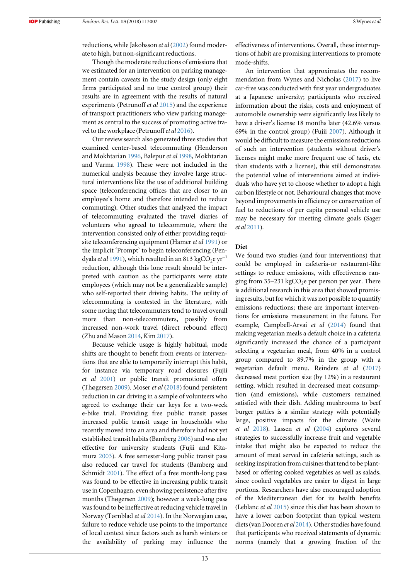reductions, while Jakobsson et al ([2002](#page-19-0)) found moderate to high, but non-significant reductions.

Though the moderate reductions of emissions that we estimated for an intervention on parking management contain caveats in the study design (only eight firms participated and no true control group) their results are in agreement with the results of natural experiments (Petrunoff et al [2015](#page-19-0)) and the experience of transport practitioners who view parking management as central to the success of promoting active tra-vel to the workplace (Petrunoff et al [2016](#page-19-0)).

Our review search also generated three studies that examined center-based telecommuting (Henderson and Mokhtarian [1996](#page-18-0), Balepur et al [1998,](#page-18-0) Mokhtarian and Varma [1998](#page-19-0)). These were not included in the numerical analysis because they involve large structural interventions like the use of additional building space (teleconferencing offices that are closer to an employee's home and therefore intended to reduce commuting). Other studies that analyzed the impact of telecommuting evaluated the travel diaries of volunteers who agreed to telecommute, where the intervention consisted only of either providing requisite teleconferencing equipment (Hamer et al [1991](#page-18-0)) or the implicit 'Prompt' to begin teleconferencing (Pen-dyala et al [1991](#page-19-0)), which resulted in an 813 kgCO<sub>2</sub>e yr<sup>-1</sup> reduction, although this lone result should be interpreted with caution as the participants were state employees (which may not be a generalizable sample) who self-reported their driving habits. The utility of telecommuting is contested in the literature, with some noting that telecommuters tend to travel overall more than non-telecommuters, possibly from increased non-work travel (direct rebound effect) (Zhu and Mason [2014,](#page-20-0) Kim [2017](#page-19-0)).

Because vehicle usage is highly habitual, mode shifts are thought to benefit from events or interventions that are able to temporarily interrupt this habit, for instance via temporary road closures (Fujii et al [2001](#page-18-0)) or public transit promotional offers (Thøgersen [2009](#page-20-0)). Moser et al ([2018](#page-19-0)) found persistent reduction in car driving in a sample of volunteers who agreed to exchange their car keys for a two-week e-bike trial. Providing free public transit passes increased public transit usage in households who recently moved into an area and therefore had not yet established transit habits (Bamberg [2006](#page-18-0)) and was also effective for university students (Fujii and Kitamura [2003](#page-18-0)). A free semester-long public transit pass also reduced car travel for students (Bamberg and Schmidt [2001](#page-18-0)). The effect of a free month-long pass was found to be effective in increasing public transit use in Copenhagen, even showing persistence after five months (Thøgersen [2009](#page-20-0)); however a week-long pass was found to be ineffective at reducing vehicle travel in Norway (Tørnblad et al [2014](#page-20-0)). In the Norwegian case, failure to reduce vehicle use points to the importance of local context since factors such as harsh winters or the availability of parking may influence the effectiveness of interventions. Overall, these interruptions of habit are promising interventions to promote mode-shifts.

An intervention that approximates the recommendation from Wynes and Nicholas ([2017](#page-20-0)) to live car-free was conducted with first year undergraduates at a Japanese university; participants who received information about the risks, costs and enjoyment of automobile ownership were significantly less likely to have a driver's license 18 months later (42.6% versus 69% in the control group) (Fujii [2007](#page-18-0)). Although it would be difficult to measure the emissions reductions of such an intervention (students without driver's licenses might make more frequent use of taxis, etc than students with a license), this still demonstrates the potential value of interventions aimed at individuals who have yet to choose whether to adopt a high carbon lifestyle or not. Behavioural changes that move beyond improvements in efficiency or conservation of fuel to reductions of per capita personal vehicle use may be necessary for meeting climate goals (Sager et al [2011](#page-19-0)).

# Diet

We found two studies (and four interventions) that could be employed in cafeteria-or restaurant-like settings to reduce emissions, with effectiveness ranging from  $35-231 \text{ kgCO}_2$ e per person per year. There is additional research in this area that showed promising results, but for which it was not possible to quantify emissions reductions; these are important interventions for emissions measurement in the future. For example, Campbell-Arvai et al ([2014](#page-18-0)) found that making vegetarian meals a default choice in a cafeteria significantly increased the chance of a participant selecting a vegetarian meal, from 40% in a control group compared to 89.7% in the group with a vegetarian default menu. Reinders et al ([2017](#page-19-0)) decreased meat portion size (by 12%) in a restaurant setting, which resulted in decreased meat consumption (and emissions), while customers remained satisfied with their dish. Adding mushrooms to beef burger patties is a similar strategy with potentially large, positive impacts for the climate (Waite et al [2018](#page-20-0)). Lassen et al ([2004](#page-19-0)) explores several strategies to successfully increase fruit and vegetable intake that might also be expected to reduce the amount of meat served in cafeteria settings, such as seeking inspiration from cuisines that tend to be plantbased or offering cooked vegetables as well as salads, since cooked vegetables are easier to digest in large portions. Researchers have also encouraged adoption of the Mediterranean diet for its health benefits (Leblanc et al [2015](#page-19-0)) since this diet has been shown to have a lower carbon footprint than typical western diets(van Dooren et al [2014](#page-20-0)). Other studies have found that participants who received statements of dynamic norms (namely that a growing fraction of the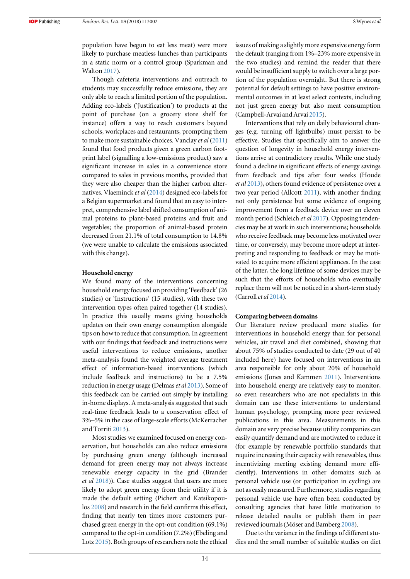population have begun to eat less meat) were more likely to purchase meatless lunches than participants in a static norm or a control group (Sparkman and Walton [2017](#page-20-0)).

Though cafeteria interventions and outreach to students may successfully reduce emissions, they are only able to reach a limited portion of the population. Adding eco-labels ('Justification') to products at the point of purchase (on a grocery store shelf for instance) offers a way to reach customers beyond schools, workplaces and restaurants, prompting them to make more sustainable choices. Vanclay et al ([2011](#page-20-0)) found that food products given a green carbon footprint label (signalling a low-emissions product) saw a significant increase in sales in a convenience store compared to sales in previous months, provided that they were also cheaper than the higher carbon alternatives. Vlaeminck et al ([2014](#page-20-0)) designed eco-labels for a Belgian supermarket and found that an easy to interpret, comprehensive label shifted consumption of animal proteins to plant-based proteins and fruit and vegetables; the proportion of animal-based protein decreased from 21.1% of total consumption to 14.8% (we were unable to calculate the emissions associated with this change).

### Household energy

We found many of the interventions concerning household energy focused on providing 'Feedback' (26 studies) or 'Instructions' (15 studies), with these two intervention types often paired together (14 studies). In practice this usually means giving households updates on their own energy consumption alongside tips on how to reduce that consumption. In agreement with our findings that feedback and instructions were useful interventions to reduce emissions, another meta-analysis found the weighted average treatment effect of information-based interventions (which include feedback and instructions) to be a 7.5% reduction in energy usage (Delmas et al [2013](#page-18-0)). Some of this feedback can be carried out simply by installing in-home displays. A meta-analysis suggested that such real-time feedback leads to a conservation effect of 3%–5% in the case of large-scale efforts (McKerracher and Torriti [2013](#page-19-0)).

Most studies we examined focused on energy conservation, but households can also reduce emissions by purchasing green energy (although increased demand for green energy may not always increase renewable energy capacity in the grid (Brander et al [2018](#page-18-0))). Case studies suggest that users are more likely to adopt green energy from their utility if it is made the default setting (Pichert and Katsikopoulos [2008](#page-19-0)) and research in the field confirms this effect, finding that nearly ten times more customers purchased green energy in the opt-out condition (69.1%) compared to the opt-in condition (7.2%) (Ebeling and Lotz [2015](#page-18-0)). Both groups of researchers note the ethical issues of making a slightly more expensive energy form the default (ranging from 1%–23% more expensive in the two studies) and remind the reader that there would be insufficient supply to switch over a large portion of the population overnight. But there is strong potential for default settings to have positive environmental outcomes in at least select contexts, including not just green energy but also meat consumption (Campbell-Arvai and Arvai [2015](#page-18-0)).

Interventions that rely on daily behavioural changes (e.g. turning off lightbulbs) must persist to be effective. Studies that specifically aim to answer the question of longevity in household energy interventions arrive at contradictory results. While one study found a decline in significant effects of energy savings from feedback and tips after four weeks (Houde et al [2013](#page-19-0)), others found evidence of persistence over a two year period (Allcott [2011](#page-17-0)), with another finding not only persistence but some evidence of ongoing improvement from a feedback device over an eleven month period (Schleich et al [2017](#page-19-0)). Opposing tendencies may be at work in such interventions; households who receive feedback may become less motivated over time, or conversely, may become more adept at interpreting and responding to feedback or may be motivated to acquire more efficient appliances. In the case of the latter, the long lifetime of some devices may be such that the efforts of households who eventually replace them will not be noticed in a short-term study (Carroll et al [2014](#page-18-0)).

# Comparing between domains

Our literature review produced more studies for interventions in household energy than for personal vehicles, air travel and diet combined, showing that about 75% of studies conducted to date (29 out of 40 included here) have focused on interventions in an area responsible for only about 20% of household emissions (Jones and Kammen [2011](#page-19-0)). Interventions into household energy are relatively easy to monitor, so even researchers who are not specialists in this domain can use these interventions to understand human psychology, prompting more peer reviewed publications in this area. Measurements in this domain are very precise because utility companies can easily quantify demand and are motivated to reduce it (for example by renewable portfolio standards that require increasing their capacity with renewables, thus incentivizing meeting existing demand more efficiently). Interventions in other domains such as personal vehicle use (or participation in cycling) are not as easily measured. Furthermore, studies regarding personal vehicle use have often been conducted by consulting agencies that have little motivation to release detailed results or publish them in peer reviewed journals(Möser and Bamberg [2008](#page-19-0)).

Due to the variance in the findings of different studies and the small number of suitable studies on diet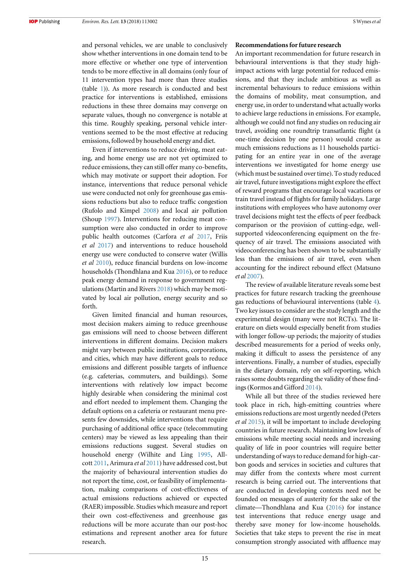and personal vehicles, we are unable to conclusively show whether interventions in one domain tend to be more effective or whether one type of intervention tends to be more effective in all domains (only four of 11 intervention types had more than three studies (table [1](#page-6-0))). As more research is conducted and best practice for interventions is established, emissions reductions in these three domains may converge on separate values, though no convergence is notable at this time. Roughly speaking, personal vehicle interventions seemed to be the most effective at reducing emissions, followed by household energy and diet.

Even if interventions to reduce driving, meat eating, and home energy use are not yet optimized to reduce emissions, they can still offer many co-benefits, which may motivate or support their adoption. For instance, interventions that reduce personal vehicle use were conducted not only for greenhouse gas emissions reductions but also to reduce traffic congestion (Rufolo and Kimpel [2008](#page-19-0)) and local air pollution (Shoup [1997](#page-20-0)). Interventions for reducing meat consumption were also conducted in order to improve public health outcomes (Carfora et al [2017](#page-18-0), Friis et al [2017](#page-18-0)) and interventions to reduce household energy use were conducted to conserve water (Willis et al [2010](#page-20-0)), reduce financial burdens on low-income households (Thondhlana and Kua [2016](#page-20-0)), or to reduce peak energy demand in response to government regulations (Martin and Rivers [2018](#page-19-0)) which may be motivated by local air pollution, energy security and so forth.

Given limited financial and human resources, most decision makers aiming to reduce greenhouse gas emissions will need to choose between different interventions in different domains. Decision makers might vary between public institutions, corporations, and cities, which may have different goals to reduce emissions and different possible targets of influence (e.g. cafeterias, commuters, and buildings). Some interventions with relatively low impact become highly desirable when considering the minimal cost and effort needed to implement them. Changing the default options on a cafeteria or restaurant menu presents few downsides, while interventions that require purchasing of additional office space (telecommuting centers) may be viewed as less appealing than their emissions reductions suggest. Several studies on household energy (Wilhite and Ling [1995,](#page-20-0) Allcott [2011](#page-17-0), Arimura et al [2011](#page-17-0)) have addressed cost, but the majority of behavioural intervention studies do not report the time, cost, or feasibility of implementation, making comparisons of cost-effectiveness of actual emissions reductions achieved or expected (RAER) impossible. Studies which measure and report their own cost-effectiveness and greenhouse gas reductions will be more accurate than our post-hoc estimations and represent another area for future research.

### Recommendations for future research

An important recommendation for future research in behavioural interventions is that they study highimpact actions with large potential for reduced emissions, and that they include ambitious as well as incremental behaviours to reduce emissions within the domains of mobility, meat consumption, and energy use, in order to understand what actually works to achieve large reductions in emissions. For example, although we could not find any studies on reducing air travel, avoiding one roundtrip transatlantic flight (a one-time decision by one person) would create as much emissions reductions as 11 households participating for an entire year in one of the average interventions we investigated for home energy use (which must be sustained over time). To study reduced air travel, future investigations might explore the effect of reward programs that encourage local vacations or train travel instead of flights for family holidays. Large institutions with employees who have autonomy over travel decisions might test the effects of peer feedback comparison or the provision of cutting-edge, wellsupported videoconferencing equipment on the frequency of air travel. The emissions associated with videoconferencing has been shown to be substantially less than the emissions of air travel, even when accounting for the indirect rebound effect (Matsuno et al [2007](#page-19-0)).

The review of available literature reveals some best practices for future research tracking the greenhouse gas reductions of behavioural interventions (table [4](#page-16-0)). Two key issues to consider are the study length and the experimental design (many were not RCTs). The literature on diets would especially benefit from studies with longer follow-up periods; the majority of studies described measurements for a period of weeks only, making it difficult to assess the persistence of any interventions. Finally, a number of studies, especially in the dietary domain, rely on self-reporting, which raises some doubts regarding the validity of these findings(Kormos and Gifford [2014](#page-19-0)).

While all but three of the studies reviewed here took place in rich, high-emitting countries where emissions reductions are most urgently needed (Peters et al [2015](#page-19-0)), it will be important to include developing countries in future research. Maintaining low levels of emissions while meeting social needs and increasing quality of life in poor countries will require better understanding of ways to reduce demand for high-carbon goods and services in societies and cultures that may differ from the contexts where most current research is being carried out. The interventions that are conducted in developing contexts need not be founded on messages of austerity for the sake of the climate—Thondhlana and Kua ([2016](#page-20-0)) for instance test interventions that reduce energy usage and thereby save money for low-income households. Societies that take steps to prevent the rise in meat consumption strongly associated with affluence may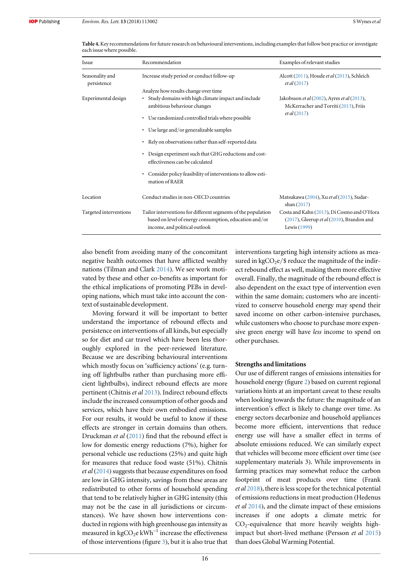| Issue                          | Recommendation                                                                                                                                           | Examples of relevant studies                                                                                  |  |  |
|--------------------------------|----------------------------------------------------------------------------------------------------------------------------------------------------------|---------------------------------------------------------------------------------------------------------------|--|--|
| Seasonality and<br>persistence | Increase study period or conduct follow-up                                                                                                               | Alcott (2011), Houde et al (2013), Schleich<br>et al (2017)                                                   |  |  |
|                                | Analyze how results change over time                                                                                                                     |                                                                                                               |  |  |
| Experimental design            | • Study domains with high climate impact and include<br>ambitious behaviour changes                                                                      | Jakobsson et al $(2002)$ , Ayres et al $(2013)$ ,<br>McKerracher and Torriti (2013), Friis                    |  |  |
|                                | Use randomized controlled trials where possible<br>$\bullet$                                                                                             | et al (2017)                                                                                                  |  |  |
|                                | • Use large and/or generalizable samples                                                                                                                 |                                                                                                               |  |  |
|                                | Rely on observations rather than self-reported data<br>$\bullet$                                                                                         |                                                                                                               |  |  |
|                                | Design experiment such that GHG reductions and cost-<br>$\bullet$<br>effectiveness can be calculated                                                     |                                                                                                               |  |  |
|                                | • Consider policy feasibility of interventions to allow esti-<br>mation of RAER                                                                          |                                                                                                               |  |  |
| Location                       | Conduct studies in non-OECD countries                                                                                                                    | Matsukawa (2004), Xu et al (2015), Sudar-<br>shan (2017)                                                      |  |  |
| Targeted interventions         | Tailor interventions for different segments of the population<br>based on level of energy consumption, education and/or<br>income, and political outlook | Costa and Kahn (2013), Di Cosmo and O'Hora<br>$(2017)$ , Gleerup et al $(2010)$ , Brandon and<br>Lewis (1999) |  |  |

<span id="page-16-0"></span>Table 4. Key recommendations for future research on behavioural interventions, including examples that follow best practice or investigate each issue where possible.

also benefit from avoiding many of the concomitant negative health outcomes that have afflicted wealthy nations (Tilman and Clark [2014](#page-20-0)). We see work motivated by these and other co-benefits as important for the ethical implications of promoting PEBs in developing nations, which must take into account the context of sustainable development.

Moving forward it will be important to better understand the importance of rebound effects and persistence on interventions of all kinds, but especially so for diet and car travel which have been less thoroughly explored in the peer-reviewed literature. Because we are describing behavioural interventions which mostly focus on 'sufficiency actions' (e.g. turning off lightbulbs rather than purchasing more efficient lightbulbs), indirect rebound effects are more pertinent (Chitnis et al [2013](#page-18-0)). Indirect rebound effects include the increased consumption of other goods and services, which have their own embodied emissions. For our results, it would be useful to know if these effects are stronger in certain domains than others. Druckman et al ([2011](#page-18-0)) find that the rebound effect is low for domestic energy reductions (7%), higher for personal vehicle use reductions (25%) and quite high for measures that reduce food waste (51%). Chitnis et al ([2014](#page-18-0)) suggests that because expenditures on food are low in GHG intensity, savings from these areas are redistributed to other forms of household spending that tend to be relatively higher in GHG intensity (this may not be the case in all jurisdictions or circumstances). We have shown how interventions conducted in regions with high greenhouse gas intensity as measured in  $kgCO<sub>2</sub>e$  kWh<sup>-1</sup> increase the effectiveness of those interventions (figure [3](#page-12-0)), but it is also true that interventions targeting high intensity actions as measured in kgCO<sub>2</sub>e/\$ reduce the magnitude of the indirect rebound effect as well, making them more effective overall. Finally, the magnitude of the rebound effect is also dependent on the exact type of intervention even within the same domain; customers who are incentivized to conserve household energy may spend their saved income on other carbon-intensive purchases, while customers who choose to purchase more expensive green energy will have less income to spend on other purchases.

### Strengths and limitations

Our use of different ranges of emissions intensities for household energy (figure [2](#page-8-0)) based on current regional variations hints at an important caveat to these results when looking towards the future: the magnitude of an intervention's effect is likely to change over time. As energy sectors decarbonize and household appliances become more efficient, interventions that reduce energy use will have a smaller effect in terms of absolute emissions reduced. We can similarly expect that vehicles will become more efficient over time (see supplementary materials 3). While improvements in farming practices may somewhat reduce the carbon footprint of meat products over time (Frank et al [2018](#page-18-0)), there is less scope for the technical potential of emissions reductions in meat production (Hedenus et al [2014](#page-18-0)), and the climate impact of these emissions increases if one adopts a climate metric for  $CO<sub>2</sub>$ -equivalence that more heavily weights highimpact but short-lived methane (Persson et al [2015](#page-19-0)) than does Global Warming Potential.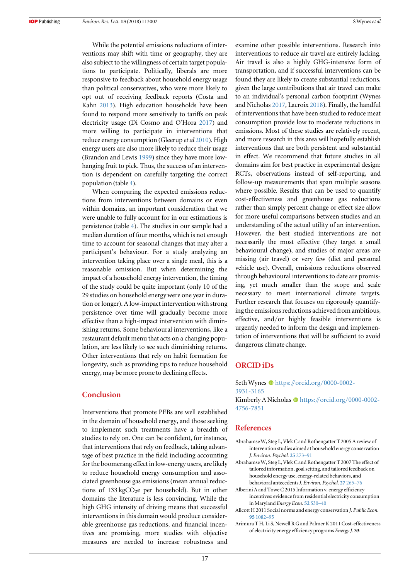<span id="page-17-0"></span>While the potential emissions reductions of interventions may shift with time or geography, they are also subject to the willingness of certain target populations to participate. Politically, liberals are more responsive to feedback about household energy usage than political conservatives, who were more likely to opt out of receiving feedback reports (Costa and Kahn [2013](#page-18-0)). High education households have been found to respond more sensitively to tariffs on peak electricity usage (Di Cosmo and O'Hora [2017](#page-18-0)) and more willing to participate in interventions that reduce energy consumption (Gleerup et al [2010](#page-18-0)). High energy users are also more likely to reduce their usage (Brandon and Lewis [1999](#page-18-0)) since they have more lowhanging fruit to pick. Thus, the success of an intervention is dependent on carefully targeting the correct population (table [4](#page-16-0)).

When comparing the expected emissions reductions from interventions between domains or even within domains, an important consideration that we were unable to fully account for in our estimations is persistence (table [4](#page-16-0)). The studies in our sample had a median duration of four months, which is not enough time to account for seasonal changes that may alter a participant's behaviour. For a study analyzing an intervention taking place over a single meal, this is a reasonable omission. But when determining the impact of a household energy intervention, the timing of the study could be quite important (only 10 of the 29 studies on household energy were one year in duration or longer). A low-impact intervention with strong persistence over time will gradually become more effective than a high-impact intervention with diminishing returns. Some behavioural interventions, like a restaurant default menu that acts on a changing population, are less likely to see such diminishing returns. Other interventions that rely on habit formation for longevity, such as providing tips to reduce household energy, may be more prone to declining effects.

# **Conclusion**

Interventions that promote PEBs are well established in the domain of household energy, and those seeking to implement such treatments have a breadth of studies to rely on. One can be confident, for instance, that interventions that rely on feedback, taking advantage of best practice in the field including accounting for the boomerang effect in low-energy users, are likely to reduce household energy consumption and associated greenhouse gas emissions (mean annual reductions of  $133 \text{ kgCO}_2$ e per household). But in other domains the literature is less convincing. While the high GHG intensity of driving means that successful interventions in this domain would produce considerable greenhouse gas reductions, and financial incentives are promising, more studies with objective measures are needed to increase robustness and

examine other possible interventions. Research into interventions to reduce air travel are entirely lacking. Air travel is also a highly GHG-intensive form of transportation, and if successful interventions can be found they are likely to create substantial reductions, given the large contributions that air travel can make to an individual's personal carbon footprint (Wynes and Nicholas [2017](#page-20-0), Lacroix [2018](#page-19-0)). Finally, the handful of interventions that have been studied to reduce meat consumption provide low to moderate reductions in emissions. Most of these studies are relatively recent, and more research in this area will hopefully establish interventions that are both persistent and substantial in effect. We recommend that future studies in all domains aim for best practice in experimental design: RCTs, observations instead of self-reporting, and follow-up measurements that span multiple seasons where possible. Results that can be used to quantify cost-effectiveness and greenhouse gas reductions rather than simply percent change or effect size allow for more useful comparisons between studies and an understanding of the actual utility of an intervention. However, the best studied interventions are not necessarily the most effective (they target a small behavioural change), and studies of major areas are missing (air travel) or very few (diet and personal vehicle use). Overall, emissions reductions observed through behavioural interventions to date are promising, yet much smaller than the scope and scale necessary to meet international climate targets. Further research that focuses on rigorously quantifying the emissions reductions achieved from ambitious, effective, and/or highly feasible interventions is urgently needed to inform the design and implementation of interventions that will be sufficient to avoid dangerous climate change.

# ORCID iDs

Seth Wyne[s](https://orcid.org/0000-0002-3931-3165)  $\bullet$  [https:](https://orcid.org/0000-0002-3931-3165)//orcid.org/[0000-0002-](https://orcid.org/0000-0002-3931-3165) [3931-3165](https://orcid.org/0000-0002-3931-3165) Kimberly A Nicholas  $\bullet$  [https:](https://orcid.org/0000-0002-4756-7851)//orcid.org/[0000-0002-](https://orcid.org/0000-0002-4756-7851) [4756-7851](https://orcid.org/0000-0002-4756-7851)

# References

- Abrahamse W, Steg L, Vlek C and Rothengatter T 2005 A review of intervention studies aimed at household energy conservation J. Environ. Psychol. 25 [273](https://doi.org/10.1016/j.jenvp.2005.08.002)–91
- Abrahamse W, Steg L, Vlek C and Rothengatter T 2007 The effect of tailored information, goal setting, and tailored feedback on household energy use, energy-related behaviors, and behavioral antecedents J. Environ. Psychol. 27 [265](https://doi.org/10.1016/j.jenvp.2007.08.002)-76
- Alberini A and Towe C 2015 Information v. energy efficiency incentives: evidence from residential electricity consumption in Maryland Energy Econ. 52 [S30](https://doi.org/10.1016/j.eneco.2015.08.013)–40
- Allcott H 2011 Social norms and energy conservation J. Public Econ. 95 [1082](https://doi.org/10.1016/j.jpubeco.2011.03.003)–95
- Arimura T H, Li S, Newell R G and Palmer K 2011 Cost-effectiveness of electricity energy efficiency programs Energy J. 33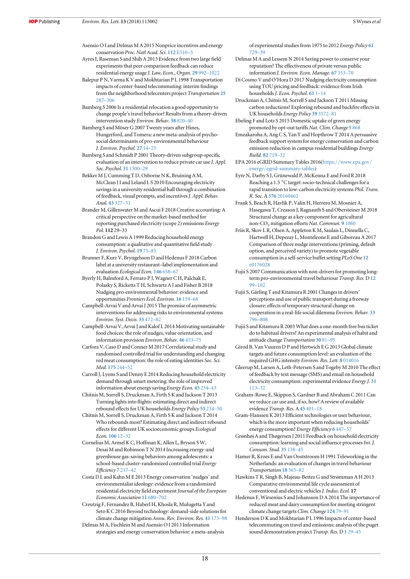<span id="page-18-0"></span>Asensio O I and Delmas M A 2015 Nonprice incentives and energy conservation Proc. Natl Acad. Sci. 112 [E510](https://doi.org/10.1073/pnas.1401880112)–5

- Ayres I, Raseman S and Shih A 2013 Evidence from two large field experiments that peer comparison feedback can reduce residential energy usage J. Law, Econ., Organ. 29 [992](https://doi.org/10.1093/jleo/ews020)–[1022](https://doi.org/10.1093/jleo/ews020)
- Balepur P N, Varma K V and Mokhtarian P L 1998 Transportation impacts of center-based telecommuting: interim findings from the neighborhood telecenters project Transportation [25](https://doi.org/10.1023/A:1005048329523) [287](https://doi.org/10.1023/A:1005048329523)–306
- Bamberg S 2006 Is a residential relocation a good opportunity to change people's travel behavior? Results from a theory-driven intervention study Environ. Behav. 38 [820](https://doi.org/10.1177/0013916505285091)–40
- Bamberg S and Möser G 2007 Twenty years after Hines, Hungerford, and Tomera: a new meta-analysis of psychosocial determinants of pro-environmental behaviour J. Environ. Psychol. [27](https://doi.org/10.1016/j.jenvp.2006.12.002) 14–25
- Bamberg S and Schmidt P 2001 Theory‐driven subgroup‐specific evaluation of an intervention to reduce private car use J. Appl. Soc. Psychol. 31 [1300](https://doi.org/10.1111/j.1559-1816.2001.tb02675.x)–29
- Bekker M J, Cumming T D, Osborne N K, Bruining A M, McClean J I and Leland L S 2010 Encouraging electricity savings in a university residential hall through a combination of feedback, visual prompts, and incentivesJ. Appl. Behav. Anal. 43 [327](https://doi.org/10.1901/jaba.2010.43-327)–31
- Brander M, Gillenwater M and Ascui F 2018 Creative accounting: A critical perspective on the market-based method for reporting purchased electricity (scope 2) emissions Energy Pol. 112 29–33
- Brandon G and Lewis A 1999 Reducing household energy consumption: a qualitative and quantitative field study J. Environ. Psychol. [19](https://doi.org/10.1006/jevp.1998.0105) 75–85
- Brunner F, Kurz V, Bryngelsson D and Hedenus F 2018 Carbon label at a university restaurant–label implementation and evaluation Ecological Econ. [146](https://doi.org/10.1016/j.ecolecon.2017.12.012) 658–67
- Byerly H, Balmford A, Ferraro P J, Wagner C H, Palchak E, Polasky S, Ricketts T H, Schwartz A J and Fisher B 2018 Nudging pro‐environmental behavior: evidence and opportunities Frontiers Ecol. Environ. 16 [159](https://doi.org/10.1002/fee.1777)–68
- Campbell-Arvai V and Arvai J 2015 The promise of asymmetric interventions for addressing risks to environmental systems Environ. Syst. Decis. 35 [472](https://doi.org/10.1007/s10669-015-9566-1)–82
- Campbell-Arvai V, Arvai J and Kalof L 2014 Motivating sustainable food choices: the role of nudges, value orientation, and information provision Environ. Behav. 46 [453](https://doi.org/10.1177/0013916512469099)–75
- Carfora V, Caso D and Conner M 2017 Correlational study and randomised controlled trial for understanding and changing red meat consumption: the role of eating identities Soc. Sci. Med. [175](https://doi.org/10.1016/j.socscimed.2017.01.005) 244–52
- Carroll J, Lyons S and Denny E 2014 Reducing household electricity demand through smart metering: the role of improved information about energy saving Energy Econ. 45 [234](https://doi.org/10.1016/j.eneco.2014.07.007)–43
- Chitnis M, Sorrell S, Druckman A, Firth S K and Jackson T 2013 Turning lights into flights: estimating direct and indirect rebound effects for UK households Energy Policy 55 [234](https://doi.org/10.1016/j.enpol.2012.12.008)–50
- Chitnis M, Sorrell S, Druckman A, Firth S K and Jackson T 2014 Who rebounds most? Estimating direct and indirect rebound effects for different UK socioeconomic groups Ecological Econ. [106](https://doi.org/10.1016/j.ecolecon.2014.07.003) 12–32
- Cornelius M, Armel K C, Hoffman K, Allen L, Bryson S W, Desai M and Robinson T N 2014 Increasing energy-and greenhouse gas-saving behaviors among adolescents: a school-based cluster-randomized controlled trial Energy Efficiency 7 [217](https://doi.org/10.1007/s12053-013-9219-5)–42
- Costa D L and Kahn M E 2013 Energy conservation 'nudges' and environmentalist ideology: evidence from a randomized residential electricity field experiment Journal of the European Economic Association 11 [680](https://doi.org/10.1111/jeea.12011)–702
- Creutzig F, Fernandez B, Haberl H, Khosla R, Mulugetta Y and Seto K C 2016 Beyond technology: demand-side solutions for climate change mitigation Annu. Rev. Environ. Res. 41 [173](https://doi.org/10.1146/annurev-environ-110615-085428)–98
- Delmas M A, Fischlein M and Asensio O I 2013 Information strategies and energy conservation behavior: a meta-analysis

of experimental studies from 1975 to 2012 Energy Policy [61](https://doi.org/10.1016/j.enpol.2013.05.109) [729](https://doi.org/10.1016/j.enpol.2013.05.109)–39

- Delmas M A and Lessem N 2014 Saving power to conserve your reputation? The effectiveness of private versus public information J. Environ. Econ. Manage. 67 [353](https://doi.org/10.1016/j.jeem.2013.12.009)–70
- Di Cosmo V and O'Hora D 2017 Nudging electricity consumption using TOU pricing and feedback: evidence from Irish households J. Econ. Psychol. [61](https://doi.org/10.1016/j.joep.2017.03.005) 1-14
- Druckman A, Chitnis M, Sorrell S and Jackson T 2011 Missing carbon reductions? Exploring rebound and backfire effects in UK households Energy Policy 39 [3572](https://doi.org/10.1016/j.enpol.2011.03.058)–81
- Ebeling F and Lotz S 2015 Domestic uptake of green energy promoted by opt-out tariffs Nat. Clim. Change 5 [868](https://doi.org/10.1038/nclimate2681)
- Emeakaroha A, Ang C S, Yan Y and Hopthrow T 2014 A persuasive feedback support system for energy conservation and carbon emission reduction in campus residential buildings Energy Build. 82 [719](https://doi.org/10.1016/j.enbuild.2014.07.071)–32
- EPA 2016 eGRID Summary Tables 2016(https://[www.epa.gov](https://www.epa.gov/energy/egrid-summary-tables)/ energy/[egrid-summary-tables](https://www.epa.gov/energy/egrid-summary-tables))
- Eyre N, Darby S J, Grünewald P, McKenna E and Ford R 2018 Reaching a 1.5 °C target: socio-technical challenges for a rapid transition to low-carbon electricity systems Phil. Trans. R. Soc. A376 [20160462](https://doi.org/10.1098/rsta.2016.0462)
- Frank S, Beach R, Havlík P, Valin H, Herrero M, Mosnier A, Hasegawa T, Creason J, Ragnauth S and Obersteiner M 2018 Structural change as a key component for agricultural non-CO<sub>2</sub> mitigation efforts Nat. Commun. 9 [1060](https://doi.org/10.1038/s41467-018-03489-1)
- Friis R, Skov L R, Olsen A, Appleton K M, Saulais L, Dinnella C, Hartwell H, Depezay L, Monteleone E and Giboreau A 2017 Comparison of three nudge interventions(priming, default option, and perceived variety) to promote vegetable consumption in a self-service buffet setting PLoS One [12](https://doi.org/10.1371/journal.pone.0176028) [e0176028](https://doi.org/10.1371/journal.pone.0176028)
- Fujii S 2007 Communication with non-drivers for promoting long-term pro-environmental travel behaviour Transp. Res. D [12](https://doi.org/10.1016/j.trd.2006.12.002) [99](https://doi.org/10.1016/j.trd.2006.12.002)–[102](https://doi.org/10.1016/j.trd.2006.12.002)
- Fujii S, Gärling T and Kitamura R 2001 Changes in drivers' perceptions and use of public transport during a freeway closure: effects of temporary structural change on cooperation in a real-life social dilemma Environ. Behav. [33](https://doi.org/10.1177/00139160121973241) [796](https://doi.org/10.1177/00139160121973241)–808
- Fujii S and Kitamura R 2003 What does a one-month free bus ticket do to habitual drivers? An experimental analysis of habit and attitude change Transportation [30](https://doi.org/10.1023/A:1021234607980) 81–95
- Girod B, Van Vuuren D P and Hertwich E G 2013 Global climate targets and future consumption level: an evaluation of the required GHG intensity Environ. Res. Lett. 8 [014016](https://doi.org/10.1088/1748-9326/8/1/014016)
- Gleerup M, Larsen A, Leth-Petersen S and Togeby M 2010 The effect of feedback by text message (SMS) and email on household electricity consumption: experimental evidence Energy J. [31](https://doi.org/10.5547/ISSN0195-6574-EJ-Vol31-No3-6) [113](https://doi.org/10.5547/ISSN0195-6574-EJ-Vol31-No3-6)–32
- Graham-Rowe E, Skippon S, Gardner B and Abraham C 2011 Can we reduce car use and, if so, how? A review of available evidence Transp. Res. A45 [401](https://doi.org/10.1016/j.tra.2011.02.001)–18
- Gram-Hanssen K 2013 Efficient technologies or user behaviour, which is the more important when reducing households' energy consumption? Energy Efficiency 6 [447](https://doi.org/10.1007/s12053-012-9184-4)–57
- Grønhøj A and Thøgersen J 2011 Feedback on household electricity consumption: learning and social influence processes Int. J. Consum. Stud. 35 [138](https://doi.org/10.1111/j.1470-6431.2010.00967.x)–45
- Hamer R, Kroes E and Van Ooststroom H 1991 Teleworking in the Netherlands: an evaluation of changes in travel behaviour Transportation 18 [365](https://doi.org/10.1007/BF00186565)–82
- Hawkins T R, Singh B, Majeau-Bettez G and Strømman A H 2013 Comparative environmental life cycle assessment of conventional and electric vehicles J. Indus. Ecol. 17
- Hedenus F, Wirsenius S and Johansson D A 2014 The importance of reduced meat and dairy consumption for meeting stringent climate change targets Clim. Change [124](https://doi.org/10.1007/s10584-014-1104-5) 79–91
- Henderson D K and Mokhtarian P L 1996 Impacts of center-based telecommuting on travel and emissions: analysis of the puget sound demonstration project Transp. Res. D 1 [29](https://doi.org/10.1016/S1361-9209(96)00009-0)–45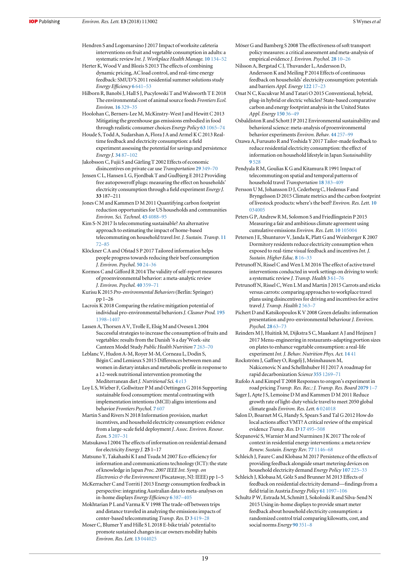- <span id="page-19-0"></span>Hendren S and Logomarsino J 2017 Impact of worksite cafeteria interventions on fruit and vegetable consumption in adults: a systematic review Int. J. Workplace Health Manage. 10 [134](https://doi.org/10.1108/IJWHM-12-2016-0089)-52
- Herter K, Wood V and Blozis S 2013 The effects of combining dynamic pricing, AC load control, and real-time energy feedback: SMUD'S 2011 residential summer solutions study Energy Efficiency 6 [641](https://doi.org/10.1007/s12053-013-9209-7)–53
- Hilborn R, Banobi J, Hall S J, Pucylowski T and Walsworth T E 2018 The environmental cost of animal source foods Frontiers Ecol. Environ. 16 [329](https://doi.org/10.1002/fee.1822)–35
- Hoolohan C, Berners-Lee M, McKinstry-West J and Hewitt C 2013 Mitigating the greenhouse gas emissions embodied in food through realistic consumer choices Energy Policy 63 [1065](https://doi.org/10.1016/j.enpol.2013.09.046)–74
- Houde S, Todd A, Sudarshan A, Flora J A and Armel K C 2013 Realtime feedback and electricity consumption: a field experiment assessing the potential for savings and persistence Energy J. [34](https://doi.org/10.5547/01956574.34.1.4) 87–[102](https://doi.org/10.5547/01956574.34.1.4)
- Jakobsson C, Fujii S and Gärling T 2002 Effects of economic disincentives on private car use Transportation 29 [349](https://doi.org/10.1023/A:1016334411457)–70
- Jensen C L, Hansen L G, Fjordbak T and Gudbjerg E 2012 Providing free autopoweroff plugs: measuring the effect on households' electricity consumption through a field experiment Energy J. 33 187–211
- Jones C M and Kammen D M 2011 Quantifying carbon footprint reduction opportunities for US households and communities Environ. Sci. Technol. 45 [4088](https://doi.org/10.1021/es102221h)–95
- Kim S-N 2017 Is telecommuting sustainable? An alternative approach to estimating the impact of home-based telecommuting on household travel Int. J. Sustain. Transp. [11](https://doi.org/10.1080/15568318.2016.1193779) [72](https://doi.org/10.1080/15568318.2016.1193779)–[85](https://doi.org/10.1080/15568318.2016.1193779)
- Klöckner C A and Ofstad S P 2017 Tailored information helps people progress towards reducing their beef consumption J. Environ. Psychol. [50](https://doi.org/10.1016/j.jenvp.2017.01.006) 24–36
- Kormos C and Gifford R 2014 The validity of self-report measures of proenvironmental behavior: a meta-analytic review J. Environ. Psychol. 40 [359](https://doi.org/10.1016/j.jenvp.2014.09.003)–71
- Kurisu K 2015 Pro-environmental Behaviors (Berlin: Springer) pp 1–26
- Lacroix K 2018 Comparing the relative mitigation potential of individual pro-environmental behaviors J. Cleaner Prod. [195](https://doi.org/10.1016/j.jclepro.2018.05.068) [1398](https://doi.org/10.1016/j.jclepro.2018.05.068)–[1407](https://doi.org/10.1016/j.jclepro.2018.05.068)
- Lassen A, Thorsen A V, Trolle E, Elsig M and Ovesen L 2004 Successful strategies to increase the consumption of fruits and vegetables: results from the Danish '6 a day'Work-site Canteen Model Study Public Health Nutrition 7 [263](https://doi.org/10.1079/PHN2003532)–70
- Leblanc V, Hudon A-M, Royer M-M, Corneau L, Dodin S, Bégin C and Lemieux S 2015 Differences between men and women in dietary intakes and metabolic profile in response to a 12-week nutritional intervention promoting the Mediterranean diet J. Nutritional Sci. 4 [e13](https://doi.org/10.1017/jns.2015.2)
- Loy L S, Wieber F, Gollwitzer P M and Oettingen G 2016 Supporting sustainable food consumption: mental contrasting with implementation intentions(MCII) aligns intentions and behavior Frontiers Psychol. 7 [607](https://doi.org/10.3389/fpsyg.2016.00607)
- Martin S and Rivers N 2018 Information provision, market incentives, and household electricity consumption: evidence from a large-scale field deployment J. Assoc. Environ. Resour. Econ. 5 [207](https://doi.org/10.1086/694036)–31
- Matsukawa I 2004 The effects of information on residential demand for electricity Energy J. 25 1–17
- Matsuno Y, Takahashi K I and Tsuda M 2007 Eco-efficiency for information and communications technology (ICT): the state of knowledge in Japan Proc. 2007 IEEE Int. Symp. on Electronics & the Environment (Piscataway, NJ: IEEE) pp 1–5
- McKerracher C and Torriti J 2013 Energy consumption feedback in perspective: integrating Australian data to meta-analyses on in-home displays Energy Efficiency 6 [387](https://doi.org/10.1007/s12053-012-9169-3)-405
- Mokhtarian P L and Varma K V 1998 The trade-off between trips and distance traveled in analyzing the emissions impacts of center-based telecommuting Transp. Res. D 3 [419](https://doi.org/10.1016/S1361-9209(98)00018-2)–28
- Moser C, Blumer Y and Hille S L 2018 E-bike trials' potential to promote sustained changes in car owners mobility habits Environ. Res. Lett. 13 [044025](https://doi.org/10.1088/1748-9326/aaad73)
- Möser G and Bamberg S 2008 The effectiveness of soft transport policy measures: a critical assessment and meta-analysis of empirical evidence J. Environ. Psychol. [28](https://doi.org/10.1016/j.jenvp.2007.09.001) 10–26
- Nilsson A, Bergstad C J, Thuvander L, Andersson D, Andersson K and Meiling P 2014 Effects of continuous feedback on households' electricity consumption: potentials and barriers Appl. Energy [122](https://doi.org/10.1016/j.apenergy.2014.01.060) 17–23
- Onat N C, Kucukvar M and Tatari O 2015 Conventional, hybrid, plug-in hybrid or electric vehicles? State-based comparative carbon and energy footprint analysis in the United States Appl. Energy [150](https://doi.org/10.1016/j.apenergy.2015.04.001) 36–49
- Osbaldiston R and Schott J P 2012 Environmental sustainability and behavioral science: meta-analysis of proenvironmental behavior experiments Environ. Behav. 44 [257](https://doi.org/10.1177/0013916511402673)–99
- Ozawa A, Furusato R and Yoshida Y 2017 Tailor-made feedback to reduce residential electricity consumption: the effect of information on household lifestyle in Japan Sustainability 9 [528](https://doi.org/10.3390/su9040528)
- Pendyala R M, Goulias K G and Kitamura R 1991 Impact of telecommuting on spatial and temporal patterns of household travel Transportation 18 [383](https://doi.org/10.1007/BF00186566)–409
- Persson U M, Johansson D J, Cederberg C, Hedenus F and Bryngelsson D 2015 Climate metrics and the carbon footprint of livestock products: where's the beef? Environ. Res. Lett. [10](https://doi.org/10.1088/1748-9326/10/3/034005) [034005](https://doi.org/10.1088/1748-9326/10/3/034005)
- Peters G P, Andrew R M, Solomon S and Friedlingstein P 2015 Measuring a fair and ambitious climate agreement using cumulative emissions Environ. Res. Lett. 10 [105004](https://doi.org/10.1088/1748-9326/10/10/105004)
- Petersen J E, Shunturov V, Janda K, Platt G and Weinberger K 2007 Dormitory residents reduce electricity consumption when exposed to real-time visual feedback and incentives Int. J. Sustain. Higher Educ. 8 [16](https://doi.org/10.1108/14676370710717562)–33
- Petrunoff N, Rissel C and Wen L M 2016 The effect of active travel interventions conducted in work settings on driving to work: a systematic reviewJ. Transp. Health 3 [61](https://doi.org/10.1016/j.jth.2015.12.001)–76
- Petrunoff N, Rissel C, Wen L M and Martin J 2015 Carrots and sticks versus carrots: comparing approaches to workplace travel plans using disincentives for driving and incentives for active travel J. Transp. Health 2 [563](https://doi.org/10.1016/j.jth.2015.06.007)-7
- Pichert D and Katsikopoulos K V 2008 Green defaults: information presentation and pro-environmental behaviour J. Environ. Psychol. [28](https://doi.org/10.1016/j.jenvp.2007.09.004) 63–73
- Reinders M J, Huitink M, Dijkstra S C, Maaskant A J and Heijnen J 2017 Menu-engineering in restaurants-adapting portion sizes on plates to enhance vegetable consumption: a real-life experiment Int. J. Behav. Nutrition Phys. Act. [14](https://doi.org/10.1186/s12966-017-0496-9) 41
- Rockström J, Gaffney O, Rogelj J, Meinshausen M, Nakicenovic N and Schellnhuber H J 2017 A roadmap for rapid decarbonization Science 355 [1269](https://doi.org/10.1126/science.aah3443)–71
- Rufolo A and Kimpel T 2008 Responses to oregon's experiment in road pricing Transp. Res. Rec.: J. Transp. Res. Board [2079](https://doi.org/10.3141/2079-01) 1–7
- Sager J, Apte J S, Lemoine D M and Kammen D M 2011 Reduce growth rate of light-duty vehicle travel to meet 2050 global climate goals Environ. Res. Lett. 6 [024018](https://doi.org/10.1088/1748-9326/6/2/024018)
- Salon D, Boarnet M G, Handy S, Spears S and Tal G 2012 How do local actions affect VMT? A critical review of the empirical evidence Transp. Res. D 17 [495](https://doi.org/10.1016/j.trd.2012.05.006)–508
- Šćepanović S, Warnier M and Nurminen J K 2017 The role of context in residential energy interventions: a meta review Renew. Sustain. Energy Rev. 77 [1146](https://doi.org/10.1016/j.rser.2016.11.044)–68
- Schleich J, Faure C and Klobasa M 2017 Persistence of the effects of providing feedback alongside smart metering devices on household electricity demand Energy Policy [107](https://doi.org/10.1016/j.enpol.2017.05.002) 225–33
- Schleich J, Klobasa M, Gölz S and Brunner M 2013 Effects of feedback on residential electricity demand—findings from a field trial in Austria Energy Policy 61 [1097](https://doi.org/10.1016/j.enpol.2013.05.012)–106
- Schultz P W, Estrada M, Schmitt J, Sokoloski R and Silva-Send N 2015 Using in-home displays to provide smart meter feedback about household electricity consumption: a randomized control trial comparing kilowatts, cost, and social norms Energy 90 [351](https://doi.org/10.1016/j.energy.2015.06.130)–8